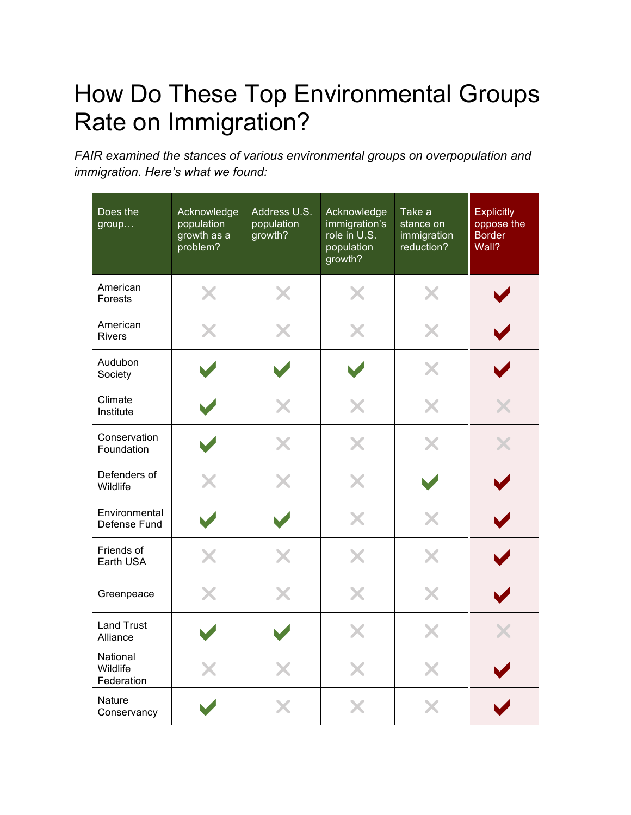## How Do These Top Environmental Groups Rate on Immigration?

*FAIR examined the stances of various environmental groups on overpopulation and immigration. Here's what we found:*

| Does the<br>group                  | Acknowledge<br>population<br>growth as a<br>problem? | Address U.S.<br>population<br>growth? | Acknowledge<br>immigration's<br>role in U.S.<br>population<br>growth? | Take a<br>stance on<br>immigration<br>reduction? | <b>Explicitly</b><br>oppose the<br><b>Border</b><br>Wall? |
|------------------------------------|------------------------------------------------------|---------------------------------------|-----------------------------------------------------------------------|--------------------------------------------------|-----------------------------------------------------------|
| American<br>Forests                | X                                                    | X                                     | X                                                                     | X                                                |                                                           |
| American<br><b>Rivers</b>          | X                                                    | X                                     | Х                                                                     | X                                                |                                                           |
| Audubon<br>Society                 |                                                      |                                       |                                                                       | X                                                |                                                           |
| Climate<br>Institute               |                                                      | X                                     | X                                                                     | X                                                |                                                           |
| Conservation<br>Foundation         |                                                      | X                                     | X                                                                     | X                                                |                                                           |
| Defenders of<br>Wildlife           | X                                                    | X                                     | X                                                                     |                                                  |                                                           |
| Environmental<br>Defense Fund      |                                                      |                                       | X                                                                     | X                                                |                                                           |
| Friends of<br>Earth USA            |                                                      | X                                     | X                                                                     | X                                                |                                                           |
| Greenpeace                         | X                                                    | X                                     | X                                                                     | X                                                |                                                           |
| <b>Land Trust</b><br>Alliance      |                                                      |                                       | X                                                                     | X                                                |                                                           |
| National<br>Wildlife<br>Federation |                                                      |                                       | X                                                                     | X                                                |                                                           |
| <b>Nature</b><br>Conservancy       |                                                      |                                       |                                                                       |                                                  |                                                           |